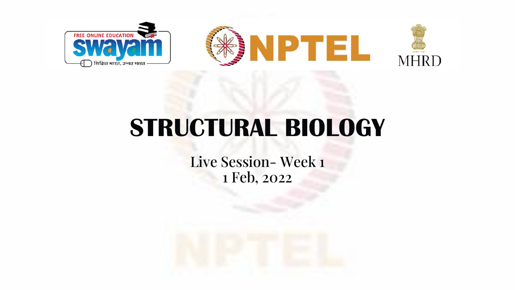

# **STRUCTURAL BIOLOGY**

Live Session- Week 1 1 Feb, 2022

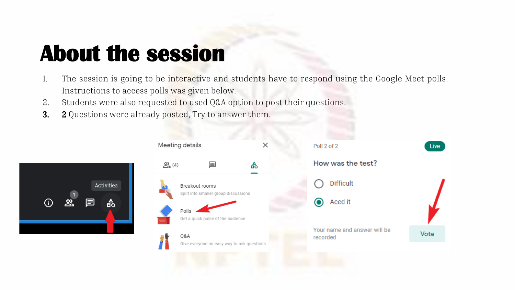# **About the session**

- 1. The session is going to be interactive and students have to respond using the Google Meet polls. Instructions to access polls was given below.
- 2. Students were also requested to used Q&A option to post their questions.
- 3. 2 Questions were already posted, Try to answer them.



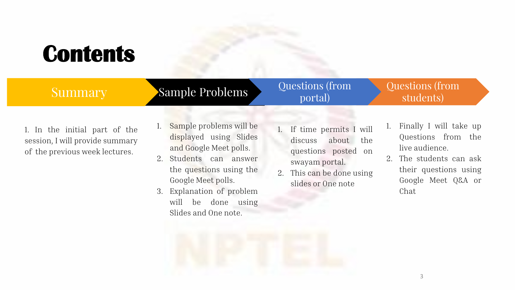# **Contents**

| <b>Summary</b>                                                                                     | <b>Sample Problems</b>                                                                                                                                                                                                                  | Questions (from<br>portal)                                                                                                                 | Questions (from<br>students)                                                                                                                           |
|----------------------------------------------------------------------------------------------------|-----------------------------------------------------------------------------------------------------------------------------------------------------------------------------------------------------------------------------------------|--------------------------------------------------------------------------------------------------------------------------------------------|--------------------------------------------------------------------------------------------------------------------------------------------------------|
| 1. In the initial part of the<br>session, I will provide summary<br>of the previous week lectures. | Sample problems will be<br>displayed using Slides<br>and Google Meet polls.<br>2. Students can answer<br>the questions using the<br>Google Meet polls.<br>Explanation of problem<br>3.<br>will<br>be done using<br>Slides and One note. | 1. If time permits I will<br>discuss about the<br>questions posted on<br>swayam portal.<br>2. This can be done using<br>slides or One note | Finally I will take up<br>1.<br>Questions from the<br>live audience.<br>2. The students can ask<br>their questions using<br>Google Meet Q&A or<br>Chat |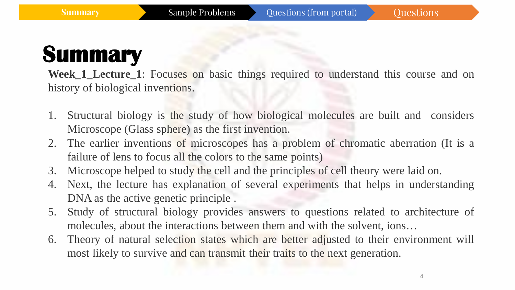**Week\_1\_Lecture\_1**: Focuses on basic things required to understand this course and on history of biological inventions.

- 1. Structural biology is the study of how biological molecules are built and considers Microscope (Glass sphere) as the first invention.
- 2. The earlier inventions of microscopes has a problem of chromatic aberration (It is a failure of lens to focus all the colors to the same points)
- 3. Microscope helped to study the cell and the principles of cell theory were laid on.
- 4. Next, the lecture has explanation of several experiments that helps in understanding DNA as the active genetic principle .
- 5. Study of structural biology provides answers to questions related to architecture of molecules, about the interactions between them and with the solvent, ions…
- 6. Theory of natural selection states which are better adjusted to their environment will most likely to survive and can transmit their traits to the next generation.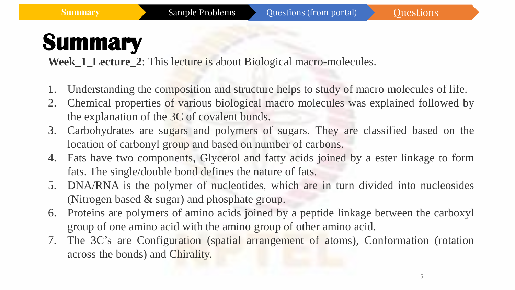**Week 1 Lecture\_2**: This lecture is about Biological macro-molecules.

- 1. Understanding the composition and structure helps to study of macro molecules of life.
- 2. Chemical properties of various biological macro molecules was explained followed by the explanation of the 3C of covalent bonds.
- 3. Carbohydrates are sugars and polymers of sugars. They are classified based on the location of carbonyl group and based on number of carbons.
- 4. Fats have two components, Glycerol and fatty acids joined by a ester linkage to form fats. The single/double bond defines the nature of fats.
- 5. DNA/RNA is the polymer of nucleotides, which are in turn divided into nucleosides (Nitrogen based & sugar) and phosphate group.
- 6. Proteins are polymers of amino acids joined by a peptide linkage between the carboxyl group of one amino acid with the amino group of other amino acid.
- 7. The 3C's are Configuration (spatial arrangement of atoms), Conformation (rotation across the bonds) and Chirality.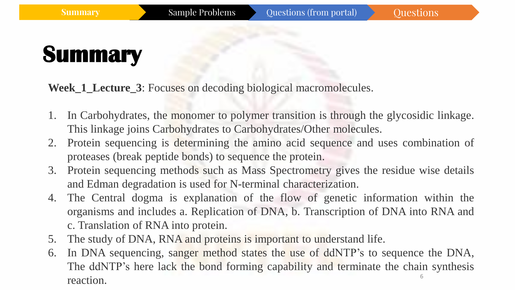**Week\_1\_Lecture\_3**: Focuses on decoding biological macromolecules.

- 1. In Carbohydrates, the monomer to polymer transition is through the glycosidic linkage. This linkage joins Carbohydrates to Carbohydrates/Other molecules.
- 2. Protein sequencing is determining the amino acid sequence and uses combination of proteases (break peptide bonds) to sequence the protein.
- 3. Protein sequencing methods such as Mass Spectrometry gives the residue wise details and Edman degradation is used for N-terminal characterization.
- 4. The Central dogma is explanation of the flow of genetic information within the organisms and includes a. Replication of DNA, b. Transcription of DNA into RNA and c. Translation of RNA into protein.
- 5. The study of DNA, RNA and proteins is important to understand life.
- 6 6. In DNA sequencing, sanger method states the use of ddNTP's to sequence the DNA, The ddNTP's here lack the bond forming capability and terminate the chain synthesis reaction.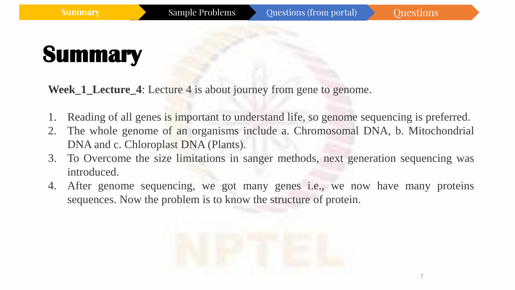**Week\_1\_Lecture\_4**: Lecture 4 is about journey from gene to genome.

- Reading of all genes is important to understand life, so genome sequencing is preferred.
- 2. The whole genome of an organisms include a. Chromosomal DNA, b. Mitochondrial DNA and c. Chloroplast DNA (Plants).
- 3. To Overcome the size limitations in sanger methods, next generation sequencing was introduced.
- 4. After genome sequencing, we got many genes i.e., we now have many proteins sequences. Now the problem is to know the structure of protein.

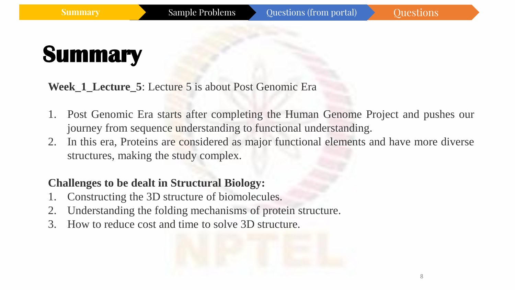#### **Week\_1\_Lecture\_5**: Lecture 5 is about Post Genomic Era

- 1. Post Genomic Era starts after completing the Human Genome Project and pushes our journey from sequence understanding to functional understanding.
- 2. In this era, Proteins are considered as major functional elements and have more diverse structures, making the study complex.

#### **Challenges to be dealt in Structural Biology:**

- Constructing the 3D structure of biomolecules.
- 2. Understanding the folding mechanisms of protein structure.
- 3. How to reduce cost and time to solve 3D structure.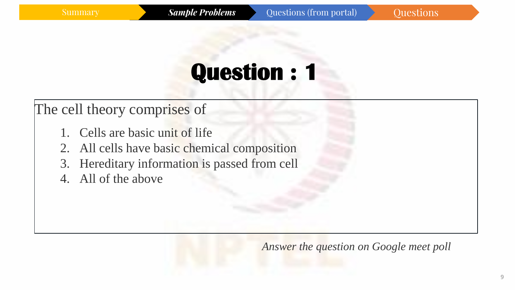### The cell theory comprises of

- 1. Cells are basic unit of life
- 2. All cells have basic chemical composition
- 3. Hereditary information is passed from cell
- 4. All of the above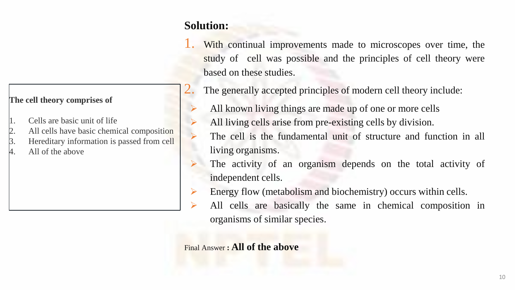#### **Solution:**

- With continual improvements made to microscopes over time, the study of cell was possible and the principles of cell theory were based on these studies.
- The generally accepted principles of modern cell theory include:
- All known living things are made up of one or more cells
- All living cells arise from pre-existing cells by division.
	- The cell is the fundamental unit of structure and function in all living organisms.
- ➢ The activity of an organism depends on the total activity of independent cells.
- Energy flow (metabolism and biochemistry) occurs within cells.
- All cells are basically the same in chemical composition in organisms of similar species.

Final Answer **: All of the above**

#### **The cell theory comprises of**

- 1. Cells are basic unit of life
- 2. All cells have basic chemical composition
- 3. Hereditary information is passed from cell
- All of the above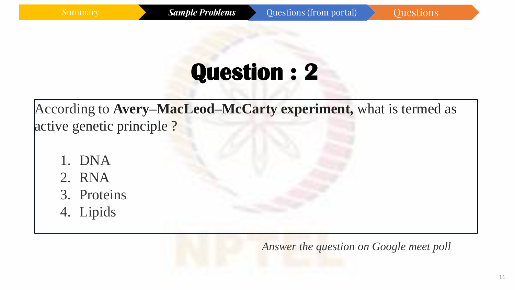According to **Avery–MacLeod–McCarty experiment,** what is termed as active genetic principle ?

- 1. DNA
- 2. RNA
- 3. Proteins
- 4. Lipids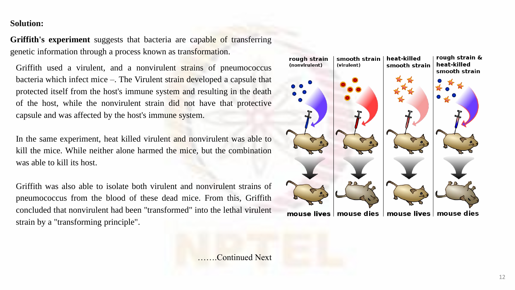#### **Solution:**

**Griffith's experiment** suggests that bacteria are capable of transferring genetic information through a process known as transformation.

Griffith used a virulent, and a nonvirulent strains of pneumococcus bacteria which infect mice –. The Virulent strain developed a capsule that protected itself from the host's immune system and resulting in the death of the host, while the nonvirulent strain did not have that protective capsule and was affected by the host's immune system.

In the same experiment, heat killed virulent and nonvirulent was able to kill the mice. While neither alone harmed the mice, but the combination was able to kill its host.

Griffith was also able to isolate both virulent and nonvirulent strains of pneumococcus from the blood of these dead mice. From this, Griffith concluded that nonvirulent had been "transformed" into the lethal virulent strain by a "transforming principle".



…….Continued Next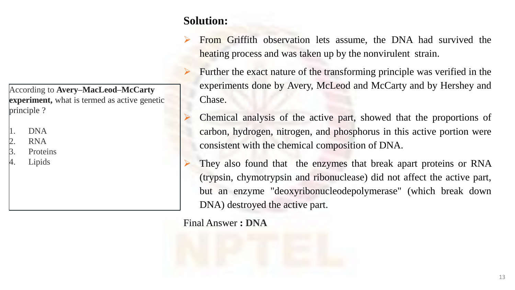#### **Solution:**

- ➢ From Griffith observation lets assume, the DNA had survived the heating process and was taken up by the nonvirulent strain.
- ➢ Further the exact nature of the transforming principle was verified in the experiments done by Avery, McLeod and McCarty and by Hershey and Chase.
- ➢ Chemical analysis of the active part, showed that the proportions of carbon, hydrogen, nitrogen, and phosphorus in this active portion were consistent with the chemical composition of DNA.
- They also found that the enzymes that break apart proteins or RNA (trypsin, chymotrypsin and ribonuclease) did not affect the active part, but an enzyme "deoxyribonucleodepolymerase" (which break down DNA) destroyed the active part.

#### Final Answer **: DNA**

According to **Avery–MacLeod–McCarty experiment,** what is termed as active genetic principle ?

- 1. DNA
- RNA
- 3. Proteins
- 4. Lipids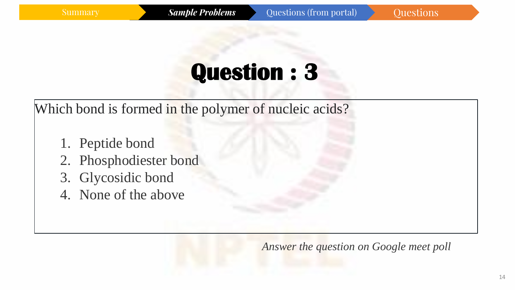Which bond is formed in the polymer of nucleic acids?

- 1. Peptide bond
- 2. Phosphodiester bond
- 3. Glycosidic bond
- 4. None of the above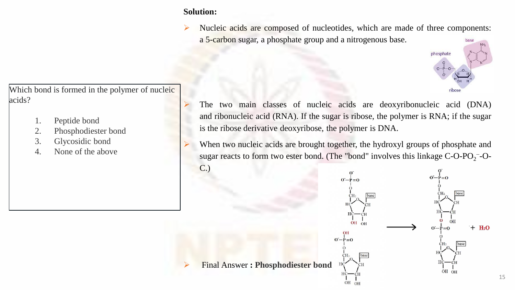#### **Solution:**

Nucleic acids are composed of nucleotides, which are made of three components: a 5-carbon sugar, a phosphate group and a nitrogenous base.



Which bond is formed in the polymer of nucleic acids?

- 1. Peptide bond
- 2. Phosphodiester bond
- 3. Glycosidic bond
- 4. None of the above
- The two main classes of nucleic acids are deoxyribonucleic acid (DNA) and ribonucleic acid (RNA). If the sugar is ribose, the polymer is RNA; if the sugar is the ribose derivative deoxyribose, the polymer is DNA.
- When two nucleic acids are brought together, the hydroxyl groups of phosphate and sugar reacts to form two ester bond. (The "bond" involves this linkage  $C$ -O-PO<sub>2</sub><sup>-</sup>-O-C.)

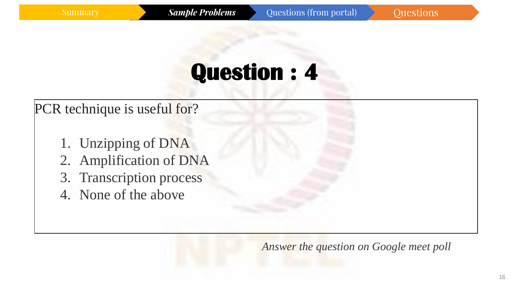### PCR technique is useful for?

- 1. Unzipping of DNA
- 2. Amplification of DNA
- 3. Transcription process
- 4. None of the above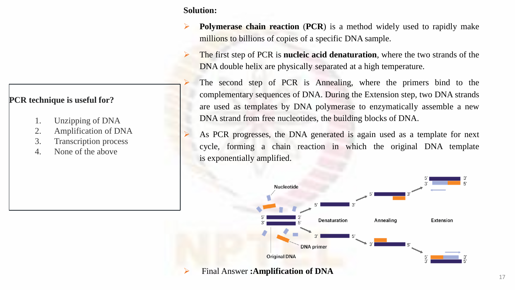#### **PCR technique is useful for?**

- 1. Unzipping of DNA
- 2. Amplification of DNA
- 3. Transcription process
- 4. None of the above

**Solution:**

- ➢ **Polymerase chain reaction** (**PCR**) is a method widely used to rapidly make millions to billions of copies of a specific DNA sample.
- ➢ The first step of PCR is **nucleic acid denaturation**, where the two strands of the DNA double helix are physically separated at a high temperature.
- The second step of PCR is Annealing, where the primers bind to the complementary sequences of DNA. During the Extension step, two DNA strands are used as templates by DNA polymerase to enzymatically assemble a new DNA strand from free nucleotides, the building blocks of DNA.
- As PCR progresses, the DNA generated is again used as a template for next cycle, forming a chain reaction in which the original DNA template is exponentially amplified.

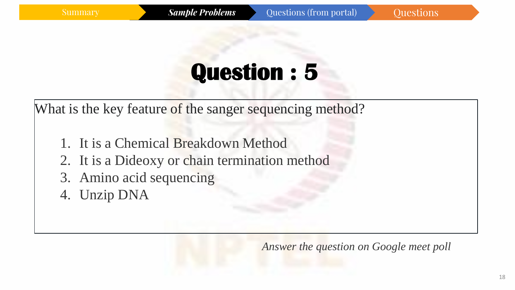What is the key feature of the sanger sequencing method?

- 1. It is a Chemical Breakdown Method
- 2. It is a Dideoxy or chain termination method
- 3. Amino acid sequencing
- 4. Unzip DNA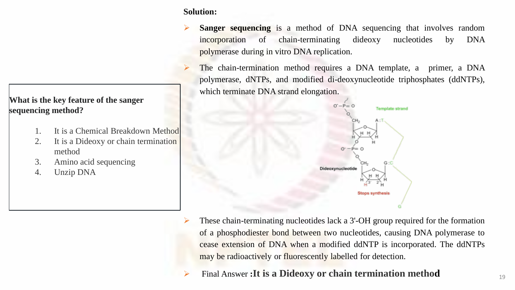#### **What is the key feature of the sanger sequencing method?**

- 1. It is a Chemical Breakdown Method
- 2. It is a Dideoxy or chain termination method
- 3. Amino acid sequencing
- 4. Unzip DNA

#### **Solution:**

- **Sanger sequencing** is a method of DNA sequencing that involves random incorporation of chain-terminating dideoxy nucleotides by DNA polymerase during in vitro DNA replication.
	- The chain-termination method requires a DNA template, a primer, a DNA polymerase, dNTPs, and modified di-deoxynucleotide triphosphates (ddNTPs), which terminate DNA strand elongation.



- ➢ These chain-terminating nucleotides lack a 3'-OH group required for the formation of a phosphodiester bond between two nucleotides, causing DNA polymerase to cease extension of DNA when a modified ddNTP is incorporated. The ddNTPs may be radioactively or fluorescently labelled for detection.
- ➢ Final Answer **:It is a Dideoxy or chain termination method**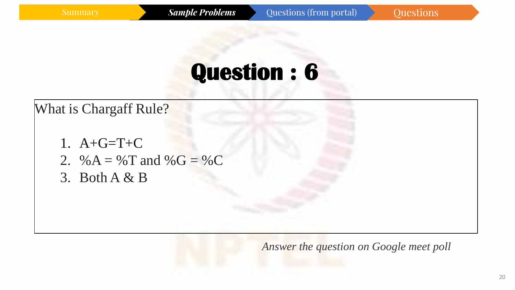### What is Chargaff Rule?

- 1.  $A + G = T + C$
- 2. % $A =$  % $T$  and % $G =$  % $C$
- 3. Both A & B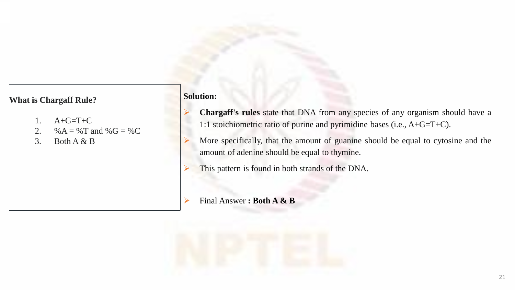#### **What is Chargaff Rule?**

- 1. A+G=T+C
- 2. %  $A = \%T$  and  $%G = \%C$
- 3. Both  $A & B$

#### **Solution:**

- ➢ **Chargaff's rules** state that DNA from any species of any organism should have a 1:1 stoichiometric ratio of purine and pyrimidine bases (i.e., A+G=T+C).
- ➢ More specifically, that the amount of guanine should be equal to cytosine and the amount of adenine should be equal to thymine.
- This pattern is found in both strands of the DNA.
- ➢ Final Answer **: Both A & B**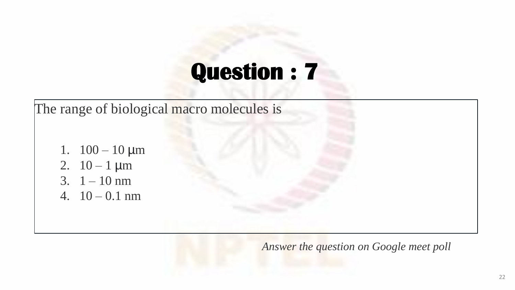The range of biological macro molecules is 1.  $100 - 10 \mu m$ 2.  $10 - 1 \mu m$ 3.  $1 - 10$  nm 4.  $10 - 0.1$  nm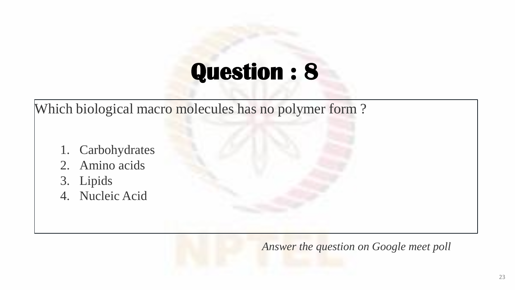Which biological macro molecules has no polymer form?

- 1. Carbohydrates
- 2. Amino acids
- 3. Lipids
- 4. Nucleic Acid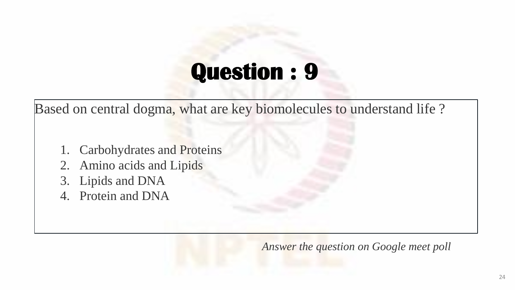Based on central dogma, what are key biomolecules to understand life ?

- 1. Carbohydrates and Proteins
- 2. Amino acids and Lipids
- 3. Lipids and DNA
- 4. Protein and DNA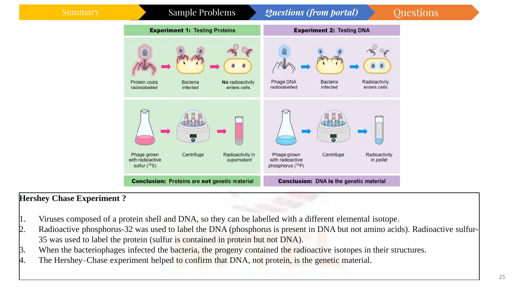#### Summary Sample Problems *Questions (from portal)* Questions



#### **Hershey Chase Experiment ?**

- 1. Viruses composed of a protein shell and DNA, so they can be labelled with a different elemental isotope.
- 2. Radioactive phosphorus-32 was used to label the DNA (phosphorus is present in DNA but not amino acids). Radioactive sulfur-35 was used to label the protein (sulfur is contained in protein but not DNA).
- 3. When the bacteriophages infected the bacteria, the progeny contained the radioactive isotopes in their structures.
- 4. The Hershey–Chase experiment helped to confirm that DNA, not protein, is the genetic material.